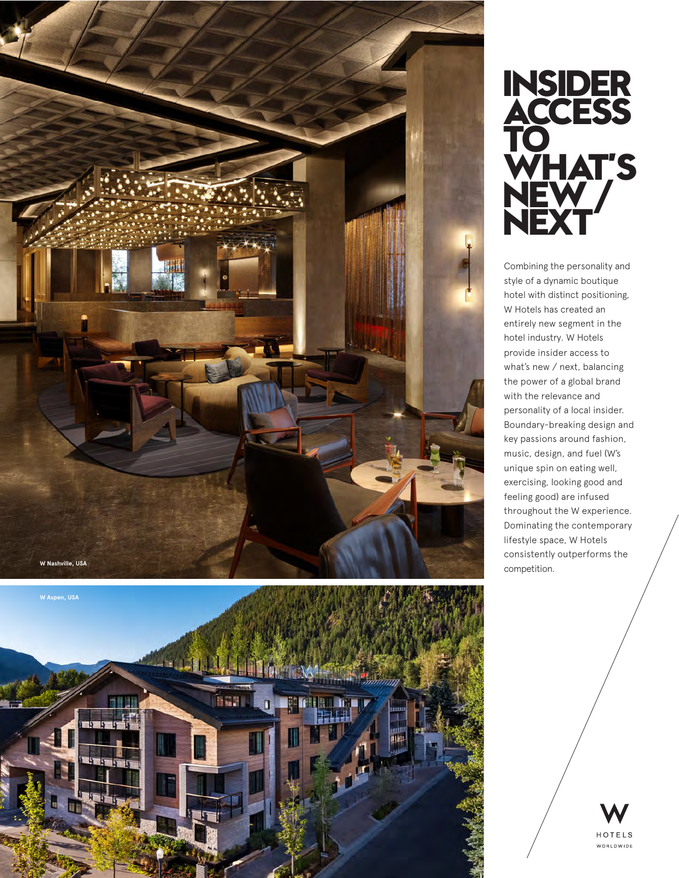





Combining the personality and style of a dynamic boutique hotel with distinct positioning, W Hotels has created an entirely new segment in the hotel industry. W Hotels provide insider access to what's new / next, balancing the power of a global brand with the relevance and personality o f a local insider. Boundary-breaking design and key passions around fashion, music, design, and fuel (W's unique spin on eating well, exercising, looking good and feeling good) are infused throughout the W experience. Dominating the contemporary lifestyle space, W Hotels consistently outperforms the competition.